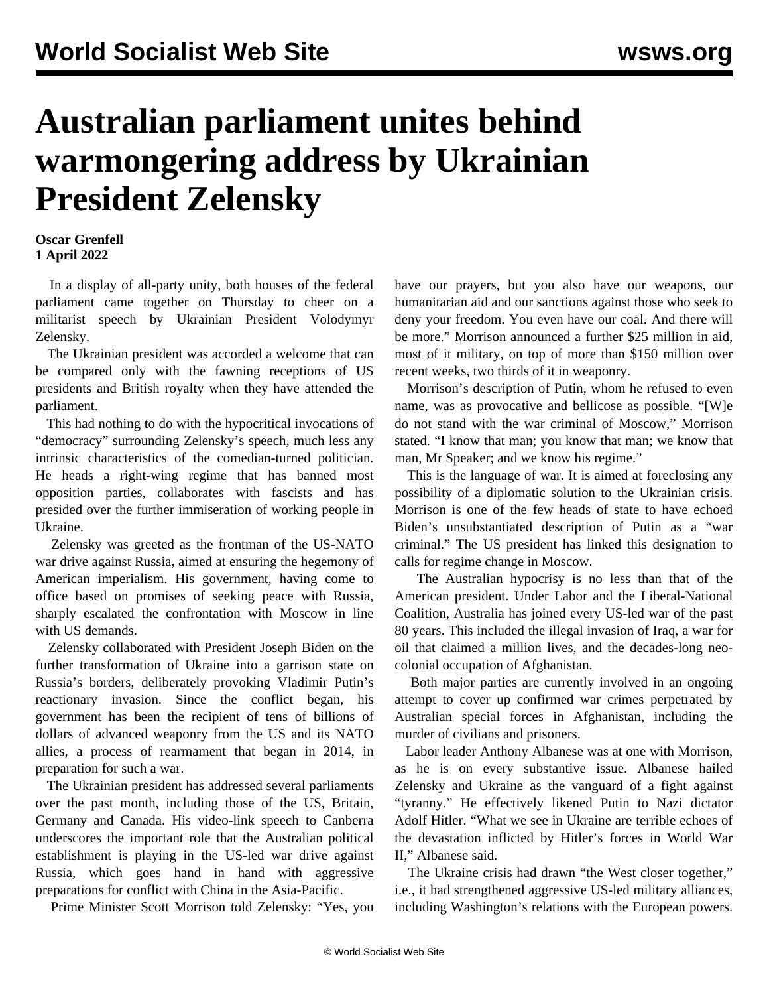## **Australian parliament unites behind warmongering address by Ukrainian President Zelensky**

## **Oscar Grenfell 1 April 2022**

 In a display of all-party unity, both houses of the federal parliament came together on Thursday to cheer on a militarist speech by Ukrainian President Volodymyr Zelensky.

 The Ukrainian president was accorded a welcome that can be compared only with the fawning receptions of US presidents and British royalty when they have attended the parliament.

 This had nothing to do with the hypocritical invocations of "democracy" surrounding Zelensky's speech, much less any intrinsic characteristics of the comedian-turned politician. He heads a right-wing regime that has banned most opposition parties, collaborates with fascists and has presided over the further immiseration of working people in Ukraine.

 Zelensky was greeted as the frontman of the US-NATO war drive against Russia, aimed at ensuring the hegemony of American imperialism. His government, having come to office based on promises of seeking peace with Russia, sharply escalated the confrontation with Moscow in line with US demands.

 Zelensky collaborated with President Joseph Biden on the further transformation of Ukraine into a garrison state on Russia's borders, deliberately provoking Vladimir Putin's reactionary invasion. Since the conflict began, his government has been the recipient of tens of billions of dollars of advanced weaponry from the US and its NATO allies, a process of rearmament that began in 2014, in preparation for such a war.

 The Ukrainian president has addressed several parliaments over the past month, including those of the US, Britain, Germany and Canada. His video-link speech to Canberra underscores the important role that the Australian political establishment is playing in the US-led war drive against Russia, which goes hand in hand with aggressive preparations for conflict with China in the Asia-Pacific.

Prime Minister Scott Morrison told Zelensky: "Yes, you

have our prayers, but you also have our weapons, our humanitarian aid and our sanctions against those who seek to deny your freedom. You even have our coal. And there will be more." Morrison announced a further \$25 million in aid, most of it military, on top of more than \$150 million over recent weeks, two thirds of it in weaponry.

 Morrison's description of Putin, whom he refused to even name, was as provocative and bellicose as possible. "[W]e do not stand with the war criminal of Moscow," Morrison stated. "I know that man; you know that man; we know that man, Mr Speaker; and we know his regime."

 This is the language of war. It is aimed at foreclosing any possibility of a diplomatic solution to the Ukrainian crisis. Morrison is one of the few heads of state to have echoed Biden's unsubstantiated description of Putin as a "war criminal." The US president has linked this designation to calls for regime change in Moscow.

 The Australian hypocrisy is no less than that of the American president. Under Labor and the Liberal-National Coalition, Australia has joined every US-led war of the past 80 years. This included the illegal invasion of Iraq, a war for oil that claimed a million lives, and the decades-long neocolonial occupation of Afghanistan.

 Both major parties are currently involved in an ongoing attempt to cover up confirmed war crimes perpetrated by Australian special forces in Afghanistan, including the murder of civilians and prisoners.

 Labor leader Anthony Albanese was at one with Morrison, as he is on every substantive issue. Albanese hailed Zelensky and Ukraine as the vanguard of a fight against "tyranny." He effectively likened Putin to Nazi dictator Adolf Hitler. "What we see in Ukraine are terrible echoes of the devastation inflicted by Hitler's forces in World War II," Albanese said.

 The Ukraine crisis had drawn "the West closer together," i.e., it had strengthened aggressive US-led military alliances, including Washington's relations with the European powers.